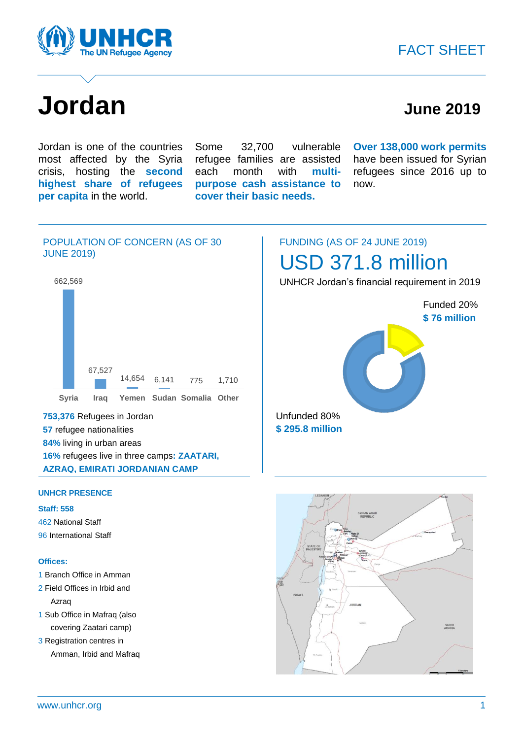



# **Jordan June <sup>2019</sup>**

Jordan is one of the countries most affected by the Syria crisis, hosting the **second highest share of refugees per capita** in the world.

Some 32,700 vulnerable refugee families are assisted each month with **multipurpose cash assistance to cover their basic needs.**

**Over 138,000 work permits** have been issued for Syrian refugees since 2016 up to now.





**753,376** Refugees in Jordan **57** refugee nationalities **84%** living in urban areas **16%** refugees live in three camps**: ZAATARI, AZRAQ, EMIRATI JORDANIAN CAMP**

### FUNDING (AS OF 24 JUNE 2019) USD 371.8 million

UNHCR Jordan's financial requirement in 2019



#### **UNHCR PRESENCE**

**Staff: 558** 462 National Staff 96 International Staff

#### **Offices:**

- 1 Branch Office in Amman 2 Field Offices in Irbid and Azraq 1 Sub Office in Mafraq (also covering Zaatari camp) 3 Registration centres in
- Amman, Irbid and Mafraq

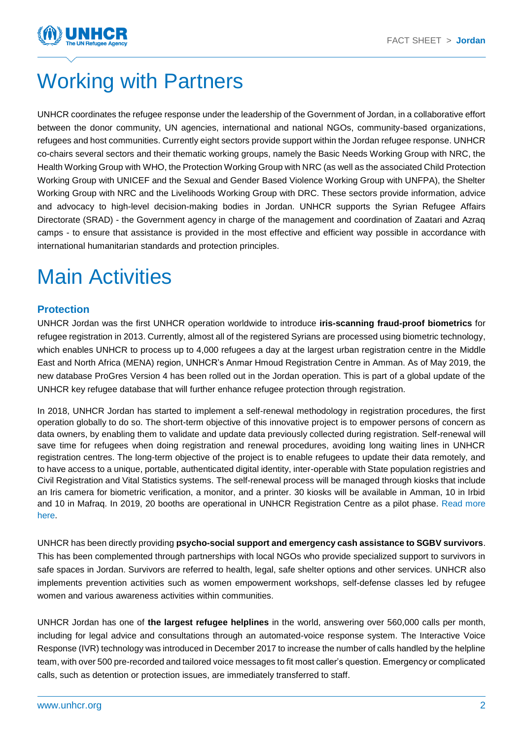

## Working with Partners

UNHCR coordinates the refugee response under the leadership of the Government of Jordan, in a collaborative effort between the donor community, UN agencies, international and national NGOs, community-based organizations, refugees and host communities. Currently eight sectors provide support within the Jordan refugee response. UNHCR co-chairs several sectors and their thematic working groups, namely the Basic Needs Working Group with NRC, the Health Working Group with WHO, the Protection Working Group with NRC (as well as the associated Child Protection Working Group with UNICEF and the Sexual and Gender Based Violence Working Group with UNFPA), the Shelter Working Group with NRC and the Livelihoods Working Group with DRC. These sectors provide information, advice and advocacy to high-level decision-making bodies in Jordan. UNHCR supports the Syrian Refugee Affairs Directorate (SRAD) - the Government agency in charge of the management and coordination of Zaatari and Azraq camps - to ensure that assistance is provided in the most effective and efficient way possible in accordance with international humanitarian standards and protection principles.

### Main Activities

#### **Protection**

UNHCR Jordan was the first UNHCR operation worldwide to introduce **iris-scanning fraud-proof biometrics** for refugee registration in 2013. Currently, almost all of the registered Syrians are processed using biometric technology, which enables UNHCR to process up to 4,000 refugees a day at the largest urban registration centre in the Middle East and North Africa (MENA) region, UNHCR's Anmar Hmoud Registration Centre in Amman. As of May 2019, the new database ProGres Version 4 has been rolled out in the Jordan operation. This is part of a global update of the UNHCR key refugee database that will further enhance refugee protection through registration.

In 2018, UNHCR Jordan has started to implement a self-renewal methodology in registration procedures, the first operation globally to do so. The short-term objective of this innovative project is to empower persons of concern as data owners, by enabling them to validate and update data previously collected during registration. Self-renewal will save time for refugees when doing registration and renewal procedures, avoiding long waiting lines in UNHCR registration centres. The long-term objective of the project is to enable refugees to update their data remotely, and to have access to a unique, portable, authenticated digital identity, inter-operable with State population registries and Civil Registration and Vital Statistics systems. The self-renewal process will be managed through kiosks that include an Iris camera for biometric verification, a monitor, and a printer. 30 kiosks will be available in Amman, 10 in Irbid and 10 in Mafraq. In 2019, 20 booths are operational in UNHCR Registration Centre as a pilot phase. [Read more](https://www.unhcr.org/jo/11281-its-so-simple-even-my-nine-year-old-daughter-can-do-it.html)  [here.](https://www.unhcr.org/jo/11281-its-so-simple-even-my-nine-year-old-daughter-can-do-it.html)

UNHCR has been directly providing **psycho-social support and emergency cash assistance to SGBV survivors**. This has been complemented through partnerships with local NGOs who provide specialized support to survivors in safe spaces in Jordan. Survivors are referred to health, legal, safe shelter options and other services. UNHCR also implements prevention activities such as women empowerment workshops, self-defense classes led by refugee women and various awareness activities within communities.

UNHCR Jordan has one of **the largest refugee helplines** in the world, answering over 560,000 calls per month, including for legal advice and consultations through an automated-voice response system. The Interactive Voice Response (IVR) technology was introduced in December 2017 to increase the number of calls handled by the helpline team, with over 500 pre-recorded and tailored voice messages to fit most caller's question. Emergency or complicated calls, such as detention or protection issues, are immediately transferred to staff.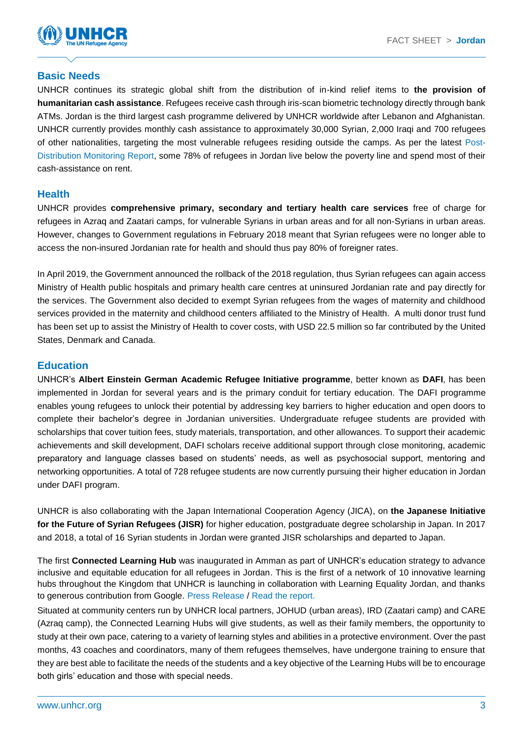

#### **Basic Needs**

UNHCR continues its strategic global shift from the distribution of in-kind relief items to **the provision of humanitarian cash assistance**. Refugees receive cash through iris-scan biometric technology directly through bank ATMs. Jordan is the third largest cash programme delivered by UNHCR worldwide after Lebanon and Afghanistan. UNHCR currently provides monthly cash assistance to approximately 30,000 Syrian, 2,000 Iraqi and 700 refugees of other nationalities, targeting the most vulnerable refugees residing outside the camps. As per the latest [Post-](https://data2.unhcr.org/en/documents/details/68296)Distribution [Monitoring Report,](https://data2.unhcr.org/en/documents/details/68296) some 78% of refugees in Jordan live below the poverty line and spend most of their cash-assistance on rent.

#### **Health**

UNHCR provides **comprehensive primary, secondary and tertiary health care services** free of charge for refugees in Azraq and Zaatari camps, for vulnerable Syrians in urban areas and for all non-Syrians in urban areas. However, changes to Government regulations in February 2018 meant that Syrian refugees were no longer able to access the non-insured Jordanian rate for health and should thus pay 80% of foreigner rates.

In April 2019, the Government announced the rollback of the 2018 regulation, thus Syrian refugees can again access Ministry of Health public hospitals and primary health care centres at uninsured Jordanian rate and pay directly for the services. The Government also decided to exempt Syrian refugees from the wages of maternity and childhood services provided in the maternity and childhood centers affiliated to the Ministry of Health. A multi donor trust fund has been set up to assist the Ministry of Health to cover costs, with USD 22.5 million so far contributed by the United States, Denmark and Canada.

#### **Education**

UNHCR's **Albert Einstein German Academic Refugee Initiative programme**, better known as **DAFI**, has been implemented in Jordan for several years and is the primary conduit for tertiary education. The DAFI programme enables young refugees to unlock their potential by addressing key barriers to higher education and open doors to complete their bachelor's degree in Jordanian universities. Undergraduate refugee students are provided with scholarships that cover tuition fees, study materials, transportation, and other allowances. To support their academic achievements and skill development, DAFI scholars receive additional support through close monitoring, academic preparatory and language classes based on students' needs, as well as psychosocial support, mentoring and networking opportunities. A total of 728 refugee students are now currently pursuing their higher education in Jordan under DAFI program.

UNHCR is also collaborating with the Japan International Cooperation Agency (JICA), on **the Japanese Initiative for the Future of Syrian Refugees (JISR)** for higher education, postgraduate degree scholarship in Japan. In 2017 and 2018, a total of 16 Syrian students in Jordan were granted JISR scholarships and departed to Japan.

The first **Connected Learning Hub** was inaugurated in Amman as part of UNHCR's education strategy to advance inclusive and equitable education for all refugees in Jordan. This is the first of a network of 10 innovative learning hubs throughout the Kingdom that UNHCR is launching in collaboration with Learning Equality Jordan, and thanks to generous contribution from Google. [Press Release](https://www.unhcr.org/jo/11408-learning-equality-google-org-and-unhcr-launch-connected-learning-hubs-in-jordan.html) / [Read the report.](https://data2.unhcr.org/en/documents/details/68786)

Situated at community centers run by UNHCR local partners, JOHUD (urban areas), IRD (Zaatari camp) and CARE (Azraq camp), the Connected Learning Hubs will give students, as well as their family members, the opportunity to study at their own pace, catering to a variety of learning styles and abilities in a protective environment. Over the past months, 43 coaches and coordinators, many of them refugees themselves, have undergone training to ensure that they are best able to facilitate the needs of the students and a key objective of the Learning Hubs will be to encourage both girls' education and those with special needs.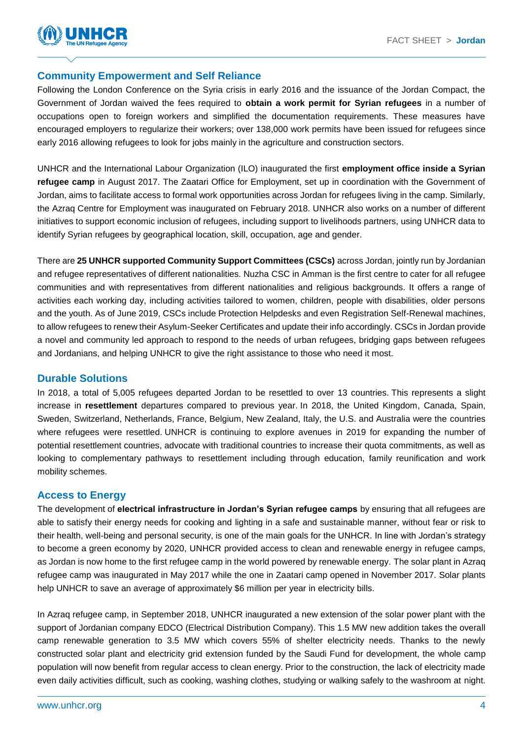

#### **Community Empowerment and Self Reliance**

Following the London Conference on the Syria crisis in early 2016 and the issuance of the Jordan Compact, the Government of Jordan waived the fees required to **obtain a work permit for Syrian refugees** in a number of occupations open to foreign workers and simplified the documentation requirements. These measures have encouraged employers to regularize their workers; over 138,000 work permits have been issued for refugees since early 2016 allowing refugees to look for jobs mainly in the agriculture and construction sectors.

UNHCR and the International Labour Organization (ILO) inaugurated the first **employment office inside a Syrian refugee camp** in August 2017. The Zaatari Office for Employment, set up in coordination with the Government of Jordan, aims to facilitate access to formal work opportunities across Jordan for refugees living in the camp. Similarly, the Azraq Centre for Employment was inaugurated on February 2018. UNHCR also works on a number of different initiatives to support economic inclusion of refugees, including support to livelihoods partners, using UNHCR data to identify Syrian refugees by geographical location, skill, occupation, age and gender.

There are **25 UNHCR supported Community Support Committees (CSCs)** across Jordan, jointly run by Jordanian and refugee representatives of different nationalities. Nuzha CSC in Amman is the first centre to cater for all refugee communities and with representatives from different nationalities and religious backgrounds. It offers a range of activities each working day, including activities tailored to women, children, people with disabilities, older persons and the youth. As of June 2019, CSCs include Protection Helpdesks and even Registration Self-Renewal machines, to allow refugees to renew their Asylum-Seeker Certificates and update their info accordingly. CSCs in Jordan provide a novel and community led approach to respond to the needs of urban refugees, bridging gaps between refugees and Jordanians, and helping UNHCR to give the right assistance to those who need it most.

#### **Durable Solutions**

In 2018, a total of 5,005 refugees departed Jordan to be resettled to over 13 countries. This represents a slight increase in **resettlement** departures compared to previous year. In 2018, the United Kingdom, Canada, Spain, Sweden, Switzerland, Netherlands, France, Belgium, New Zealand, Italy, the U.S. and Australia were the countries where refugees were resettled. UNHCR is continuing to explore avenues in 2019 for expanding the number of potential resettlement countries, advocate with traditional countries to increase their quota commitments, as well as looking to complementary pathways to resettlement including through education, family reunification and work mobility schemes.

#### **Access to Energy**

The development of **electrical infrastructure in Jordan's Syrian refugee camps** by ensuring that all refugees are able to satisfy their energy needs for cooking and lighting in a safe and sustainable manner, without fear or risk to their health, well-being and personal security, is one of the main goals for the UNHCR. In line with Jordan's strategy to become a green economy by 2020, UNHCR provided access to clean and renewable energy in refugee camps, as Jordan is now home to the first refugee camp in the world powered by renewable energy. The solar plant in Azraq refugee camp was inaugurated in May 2017 while the one in Zaatari camp opened in November 2017. Solar plants help UNHCR to save an average of approximately \$6 million per year in electricity bills.

In Azraq refugee camp, in September 2018, UNHCR inaugurated a new extension of the solar power plant with the support of Jordanian company EDCO (Electrical Distribution Company). This 1.5 MW new addition takes the overall camp renewable generation to 3.5 MW which covers 55% of shelter electricity needs. Thanks to the newly constructed solar plant and electricity grid extension funded by the Saudi Fund for development, the whole camp population will now benefit from regular access to clean energy. Prior to the construction, the lack of electricity made even daily activities difficult, such as cooking, washing clothes, studying or walking safely to the washroom at night.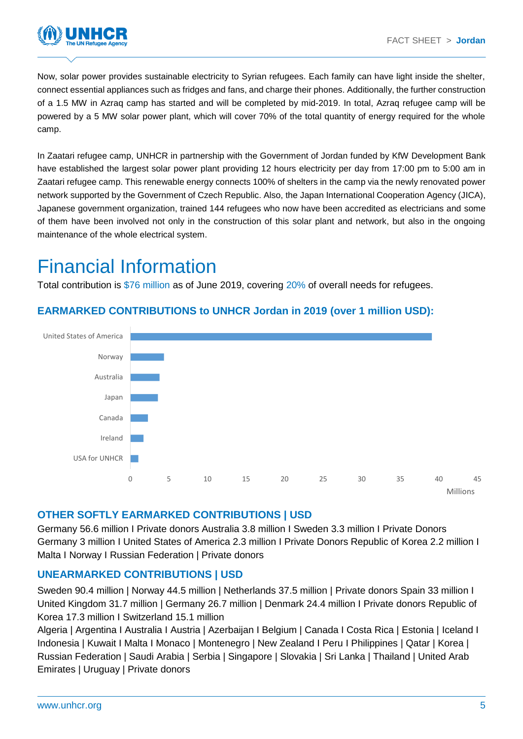

Now, solar power provides sustainable electricity to Syrian refugees. Each family can have light inside the shelter, connect essential appliances such as fridges and fans, and charge their phones. Additionally, the further construction of a 1.5 MW in Azraq camp has started and will be completed by mid-2019. In total, Azraq refugee camp will be powered by a 5 MW solar power plant, which will cover 70% of the total quantity of energy required for the whole camp.

In Zaatari refugee camp, UNHCR in partnership with the Government of Jordan funded by KfW Development Bank have established the largest solar power plant providing 12 hours electricity per day from 17:00 pm to 5:00 am in Zaatari refugee camp. This renewable energy connects 100% of shelters in the camp via the newly renovated power network supported by the Government of Czech Republic. Also, the Japan International Cooperation Agency (JICA), Japanese government organization, trained 144 refugees who now have been accredited as electricians and some of them have been involved not only in the construction of this solar plant and network, but also in the ongoing maintenance of the whole electrical system.

### Financial Information

Total contribution is \$76 million as of June 2019, covering 20% of overall needs for refugees.

### **EARMARKED CONTRIBUTIONS to UNHCR Jordan in 2019 (over 1 million USD):**



#### **OTHER SOFTLY EARMARKED CONTRIBUTIONS | USD**

Germany 56.6 million I Private donors Australia 3.8 million I Sweden 3.3 million I Private Donors Germany 3 million I United States of America 2.3 million I Private Donors Republic of Korea 2.2 million I Malta I Norway I Russian Federation | Private donors

#### **UNEARMARKED CONTRIBUTIONS | USD**

Sweden 90.4 million | Norway 44.5 million | Netherlands 37.5 million | Private donors Spain 33 million I United Kingdom 31.7 million | Germany 26.7 million | Denmark 24.4 million I Private donors Republic of Korea 17.3 million I Switzerland 15.1 million

Algeria | Argentina I Australia I Austria | Azerbaijan I Belgium | Canada I Costa Rica | Estonia | Iceland I Indonesia | Kuwait I Malta I Monaco | Montenegro | New Zealand I Peru I Philippines | Qatar | Korea | Russian Federation | Saudi Arabia | Serbia | Singapore | Slovakia | Sri Lanka | Thailand | United Arab Emirates | Uruguay | Private donors